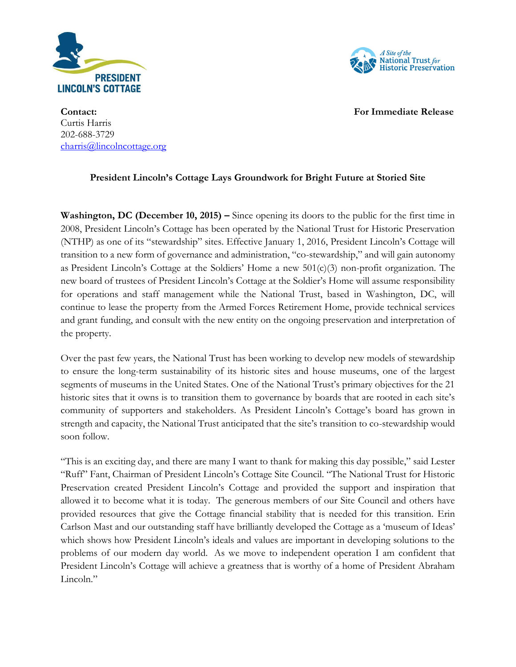



**Contact: For Immediate Release** Curtis Harris 202-688-3729 [charris@lincolncottage.org](mailto:charris@lincolncottage.org)

## **President Lincoln's Cottage Lays Groundwork for Bright Future at Storied Site**

**Washington, DC (December 10, 2015) –** Since opening its doors to the public for the first time in 2008, President Lincoln's Cottage has been operated by the National Trust for Historic Preservation (NTHP) as one of its "stewardship" sites. Effective January 1, 2016, President Lincoln's Cottage will transition to a new form of governance and administration, "co-stewardship," and will gain autonomy as President Lincoln's Cottage at the Soldiers' Home a new  $501(c)(3)$  non-profit organization. The new board of trustees of President Lincoln's Cottage at the Soldier's Home will assume responsibility for operations and staff management while the National Trust, based in Washington, DC, will continue to lease the property from the Armed Forces Retirement Home, provide technical services and grant funding, and consult with the new entity on the ongoing preservation and interpretation of the property.

Over the past few years, the National Trust has been working to develop new models of stewardship to ensure the long-term sustainability of its historic sites and house museums, one of the largest segments of museums in the United States. One of the National Trust's primary objectives for the 21 historic sites that it owns is to transition them to governance by boards that are rooted in each site's community of supporters and stakeholders. As President Lincoln's Cottage's board has grown in strength and capacity, the National Trust anticipated that the site's transition to co-stewardship would soon follow.

"This is an exciting day, and there are many I want to thank for making this day possible," said Lester "Ruff" Fant, Chairman of President Lincoln's Cottage Site Council. "The National Trust for Historic Preservation created President Lincoln's Cottage and provided the support and inspiration that allowed it to become what it is today. The generous members of our Site Council and others have provided resources that give the Cottage financial stability that is needed for this transition. Erin Carlson Mast and our outstanding staff have brilliantly developed the Cottage as a 'museum of Ideas' which shows how President Lincoln's ideals and values are important in developing solutions to the problems of our modern day world. As we move to independent operation I am confident that President Lincoln's Cottage will achieve a greatness that is worthy of a home of President Abraham Lincoln."